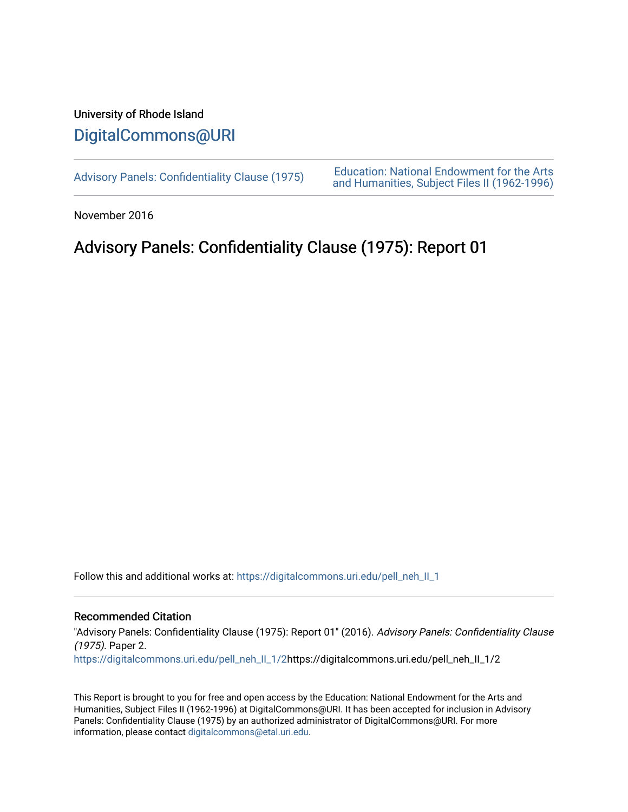## University of Rhode Island [DigitalCommons@URI](https://digitalcommons.uri.edu/)

[Advisory Panels: Confidentiality Clause \(1975\)](https://digitalcommons.uri.edu/pell_neh_II_1) [Education: National Endowment for the Arts](https://digitalcommons.uri.edu/pell_neh_II)  [and Humanities, Subject Files II \(1962-1996\)](https://digitalcommons.uri.edu/pell_neh_II) 

November 2016

## Advisory Panels: Confidentiality Clause (1975): Report 01

Follow this and additional works at: [https://digitalcommons.uri.edu/pell\\_neh\\_II\\_1](https://digitalcommons.uri.edu/pell_neh_II_1?utm_source=digitalcommons.uri.edu%2Fpell_neh_II_1%2F2&utm_medium=PDF&utm_campaign=PDFCoverPages) 

## Recommended Citation

"Advisory Panels: Confidentiality Clause (1975): Report 01" (2016). Advisory Panels: Confidentiality Clause (1975). Paper 2.

[https://digitalcommons.uri.edu/pell\\_neh\\_II\\_1/2](https://digitalcommons.uri.edu/pell_neh_II_1/2?utm_source=digitalcommons.uri.edu%2Fpell_neh_II_1%2F2&utm_medium=PDF&utm_campaign=PDFCoverPages)https://digitalcommons.uri.edu/pell\_neh\_II\_1/2

This Report is brought to you for free and open access by the Education: National Endowment for the Arts and Humanities, Subject Files II (1962-1996) at DigitalCommons@URI. It has been accepted for inclusion in Advisory Panels: Confidentiality Clause (1975) by an authorized administrator of DigitalCommons@URI. For more information, please contact [digitalcommons@etal.uri.edu.](mailto:digitalcommons@etal.uri.edu)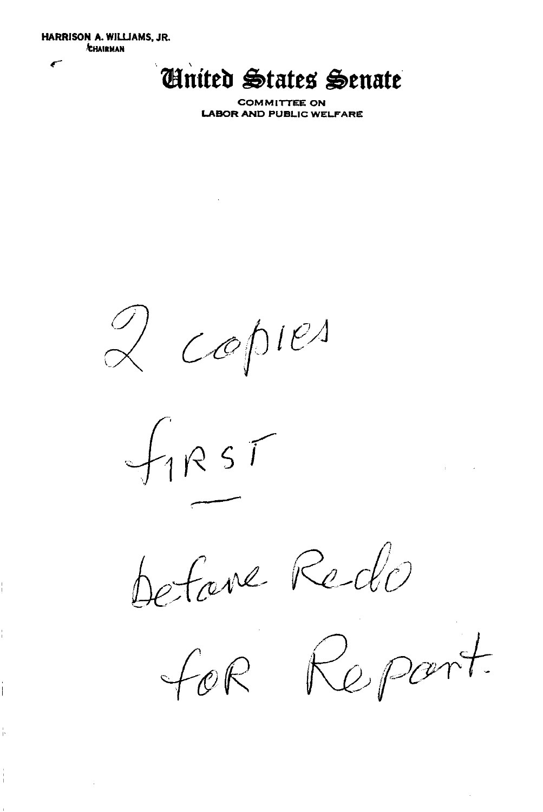HARRISON A. WILLIAMS, JR. **CHAIRMAN** 

## *United States Senate*

**COMMITTEE ON LABOR AND PUBLIC WELFARE** 

 $\begin{matrix} 0 \\ 0 \end{matrix}$  copies

 $f_1$ RST

refaire Redo

for Report.